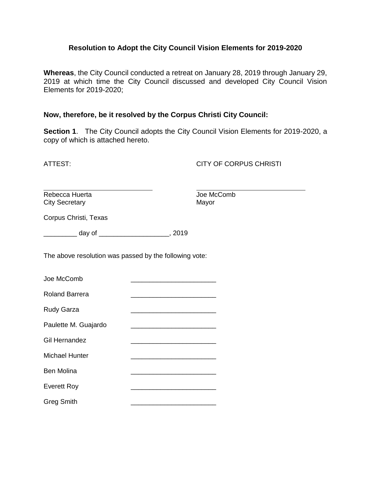#### **Resolution to Adopt the City Council Vision Elements for 2019-2020**

**Whereas**, the City Council conducted a retreat on January 28, 2019 through January 29, 2019 at which time the City Council discussed and developed City Council Vision Elements for 2019-2020;

#### **Now, therefore, be it resolved by the Corpus Christi City Council:**

**Section 1**. The City Council adopts the City Council Vision Elements for 2019-2020, a copy of which is attached hereto.

ATTEST: CITY OF CORPUS CHRISTI

Rebecca Huerta **Comb** Joe McComb City Secretary **Mayor** Mayor

Corpus Christi, Texas

\_\_\_\_\_\_\_\_\_ day of \_\_\_\_\_\_\_\_\_\_\_\_\_\_\_\_\_\_\_, 2019

The above resolution was passed by the following vote:

| Joe McComb            |  |
|-----------------------|--|
| <b>Roland Barrera</b> |  |
| <b>Rudy Garza</b>     |  |
| Paulette M. Guajardo  |  |
| <b>Gil Hernandez</b>  |  |
| <b>Michael Hunter</b> |  |
| <b>Ben Molina</b>     |  |
| <b>Everett Roy</b>    |  |
| <b>Greg Smith</b>     |  |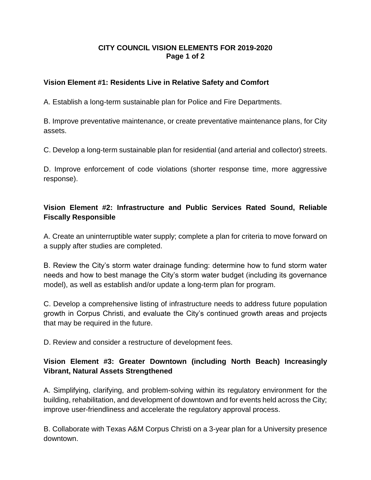### **CITY COUNCIL VISION ELEMENTS FOR 2019-2020 Page 1 of 2**

## **Vision Element #1: Residents Live in Relative Safety and Comfort**

A. Establish a long-term sustainable plan for Police and Fire Departments.

B. Improve preventative maintenance, or create preventative maintenance plans, for City assets.

C. Develop a long-term sustainable plan for residential (and arterial and collector) streets.

D. Improve enforcement of code violations (shorter response time, more aggressive response).

# **Vision Element #2: Infrastructure and Public Services Rated Sound, Reliable Fiscally Responsible**

A. Create an uninterruptible water supply; complete a plan for criteria to move forward on a supply after studies are completed.

B. Review the City's storm water drainage funding: determine how to fund storm water needs and how to best manage the City's storm water budget (including its governance model), as well as establish and/or update a long-term plan for program.

C. Develop a comprehensive listing of infrastructure needs to address future population growth in Corpus Christi, and evaluate the City's continued growth areas and projects that may be required in the future.

D. Review and consider a restructure of development fees.

## **Vision Element #3: Greater Downtown (including North Beach) Increasingly Vibrant, Natural Assets Strengthened**

A. Simplifying, clarifying, and problem-solving within its regulatory environment for the building, rehabilitation, and development of downtown and for events held across the City; improve user-friendliness and accelerate the regulatory approval process.

B. Collaborate with Texas A&M Corpus Christi on a 3-year plan for a University presence downtown.